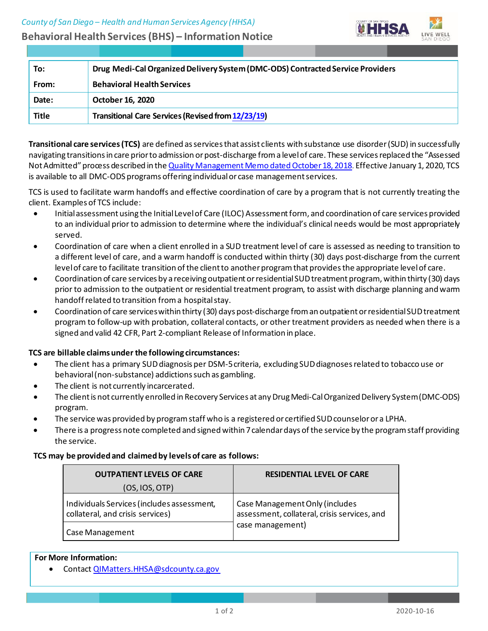

| To:          | Drug Medi-Cal Organized Delivery System (DMC-ODS) Contracted Service Providers |
|--------------|--------------------------------------------------------------------------------|
| From:        | <b>Behavioral Health Services</b>                                              |
| Date:        | October 16, 2020                                                               |
| <b>Title</b> | <b>Transitional Care Services (Revised from 12/23/19)</b>                      |

**Transitional care services(TCS)** are defined asservicesthat assist clients with substance use disorder(SUD) in successfully navigating transitionsin care priorto admission orpost-discharge from a levelof care. These servicesreplaced the "Assessed Not Admitted" process described in the Quality Management Memo dated October 18, 2018. Effective January 1, 2020, TCS is available to all DMC-ODS programs offering individual or case management services.

TCS is used to facilitate warm handoffs and effective coordination of care by a program that is not currently treating the client. Examples of TCS include:

- Initialassessmentusing the InitialLevelof Care (ILOC) Assessmentform, and coordination of care services provided to an individual prior to admission to determine where the individual's clinical needs would be most appropriately served.
- Coordination of care when a client enrolled in a SUD treatment level of care is assessed as needing to transition to a different level of care, and a warm handoff is conducted within thirty (30) days post-discharge from the current level of care to facilitate transition of the client to another program that provides the appropriate level of care.
- Coordination of care services by a receivingoutpatient orresidentialSUDtreatment program, within thirty (30) days prior to admission to the outpatient or residential treatment program, to assist with discharge planning andwarm handoff related to transition from a hospitalstay.
- Coordination of care serviceswithin thirty (30) days post-discharge froman outpatient orresidentialSUDtreatment program to follow-up with probation, collateral contacts, or other treatment providers as needed when there is a signed and valid 42 CFR, Part 2-compliant Release of Information in place.

# **TCS are billable claims under the following circumstances:**

- The client has a primary SUD diagnosis per DSM-5 criteria, excluding SUD diagnoses related to tobacco use or behavioral (non-substance) addictions such as gambling.
- The client is not currently incarcerated.
- The client is not currently enrolled in Recovery Services at any Drug Medi-Cal Organized Delivery System (DMC-ODS) program.
- The service was provided by programstaff who is a registered or certified SUD counseloror a LPHA.
- There is a progress note completed and signed within 7 calendar days of the service by the program staff providing the service.

## **TCS may be provided and claimed by levels of care as follows:**

| <b>OUTPATIENT LEVELS OF CARE</b>                                               | <b>RESIDENTIAL LEVEL OF CARE</b>                                               |
|--------------------------------------------------------------------------------|--------------------------------------------------------------------------------|
| (OS,IOS, OTP)                                                                  |                                                                                |
| Individuals Services (includes assessment,<br>collateral, and crisis services) | Case Management Only (includes<br>assessment, collateral, crisis services, and |
| Case Management                                                                | case management)                                                               |

## **For More Information:**

• Contac[t QIMatters.HHSA@sdcounty.ca.gov](mailto:QIMatters.HHSA@sdcounty.ca.gov)